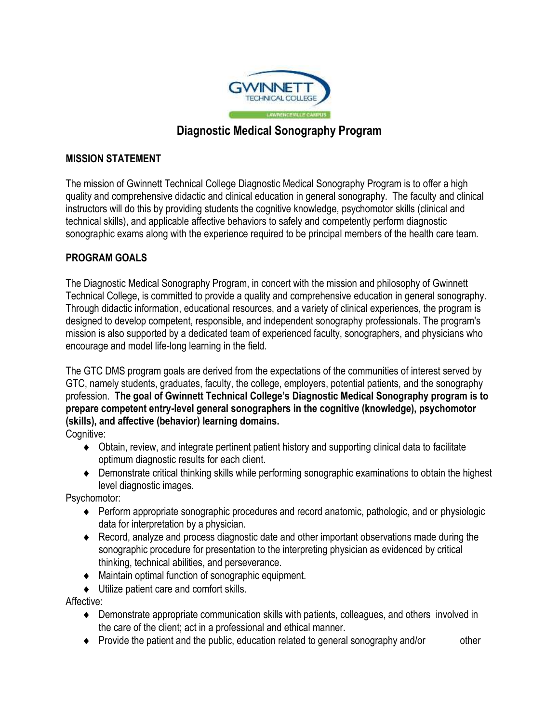

# **Diagnostic Medical Sonography Program**

## **MISSION STATEMENT**

 The mission of Gwinnett Technical College Diagnostic Medical Sonography Program is to offer a high quality and comprehensive didactic and clinical education in general sonography. The faculty and clinical instructors will do this by providing students the cognitive knowledge, psychomotor skills (clinical and technical skills), and applicable affective behaviors to safely and competently perform diagnostic sonographic exams along with the experience required to be principal members of the health care team.

# **PROGRAM GOALS**

 Technical College, is committed to provide a quality and comprehensive education in general sonography. mission is also supported by a dedicated team of experienced faculty, sonographers, and physicians who The Diagnostic Medical Sonography Program, in concert with the mission and philosophy of Gwinnett Through didactic information, educational resources, and a variety of clinical experiences, the program is designed to develop competent, responsible, and independent sonography professionals. The program's encourage and model life-long learning in the field.

 profession. **The goal of Gwinnett Technical College's Diagnostic Medical Sonography program is to**  The GTC DMS program goals are derived from the expectations of the communities of interest served by GTC, namely students, graduates, faculty, the college, employers, potential patients, and the sonography **prepare competent entry-level general sonographers in the cognitive (knowledge), psychomotor (skills), and affective (behavior) learning domains.** 

Cognitive:

- Obtain, review, and integrate pertinent patient history and supporting clinical data to facilitate optimum diagnostic results for each client.
- Demonstrate critical thinking skills while performing sonographic examinations to obtain the highest level diagnostic images.

Psychomotor:

- data for interpretation by a physician. ◆ Perform appropriate sonographic procedures and record anatomic, pathologic, and or physiologic
- sonographic procedure for presentation to the interpreting physician as evidenced by critical thinking, technical abilities, and perseverance. Record, analyze and process diagnostic date and other important observations made during the
- Maintain optimal function of sonographic equipment.

 $\bullet$  Utilize patient care and comfort skills.

Affective:

- Demonstrate appropriate communication skills with patients, colleagues, and others involved in the care of the client; act in a professional and ethical manner.
- Provide the patient and the public, education related to general sonography and/or other